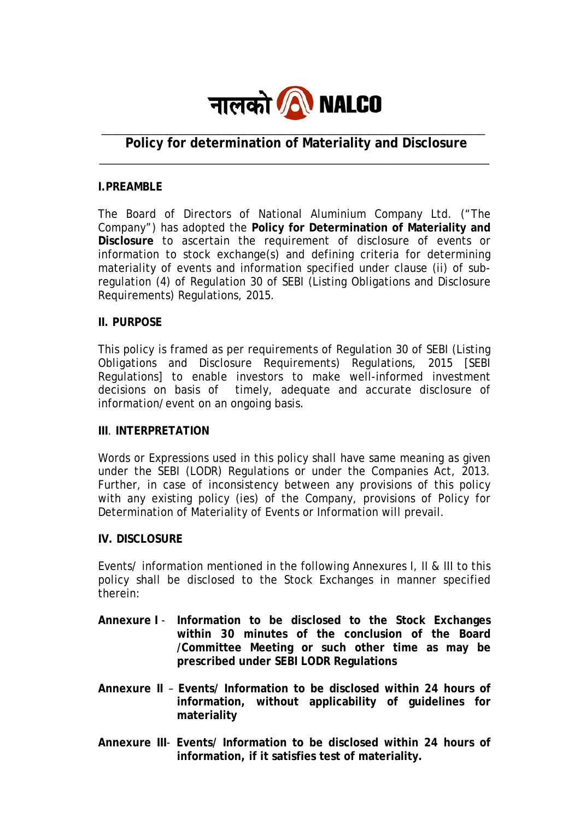

# **Policy for determination of Materiality and Disclosure** \_\_\_\_\_\_\_\_\_\_\_\_\_\_\_\_\_\_\_\_\_\_\_\_\_\_\_\_\_\_\_\_\_\_\_\_\_\_\_\_\_\_\_\_\_\_\_\_\_\_\_\_\_\_\_\_\_\_\_\_

## **I.PREAMBLE**

The Board of Directors of National Aluminium Company Ltd. ("The Company") has adopted the **Policy for Determination of Materiality and Disclosure** to ascertain the requirement of disclosure of events or information to stock exchange(s) and defining criteria for determining materiality of events and information specified under clause (ii) of subregulation (4) of Regulation 30 of SEBI (Listing Obligations and Disclosure Requirements) Regulations, 2015.

## **II. PURPOSE**

This policy is framed as per requirements of Regulation 30 of SEBI (Listing Obligations and Disclosure Requirements) Regulations, 2015 [SEBI Regulations] to enable investors to make well-informed investment decisions on basis of timely, adequate and accurate disclosure of information/event on an ongoing basis.

#### **III**. **INTERPRETATION**

Words or Expressions used in this policy shall have same meaning as given under the SEBI (LODR) Regulations or under the Companies Act, 2013. Further, in case of inconsistency between any provisions of this policy with any existing policy (ies) of the Company, provisions of Policy for Determination of Materiality of Events or Information will prevail.

#### **IV. DISCLOSURE**

Events/ information mentioned in the following Annexures I, II & III to this policy shall be disclosed to the Stock Exchanges in manner specified therein:

- **Annexure I Information to be disclosed to the Stock Exchanges within 30 minutes of the conclusion of the Board /Committee Meeting or such other time as may be prescribed under SEBI LODR Regulations**
- **Annexure II Events/ Information to be disclosed within 24 hours of information, without applicability of guidelines for materiality**
- **Annexure III Events/ Information to be disclosed within 24 hours of information, if it satisfies test of materiality.**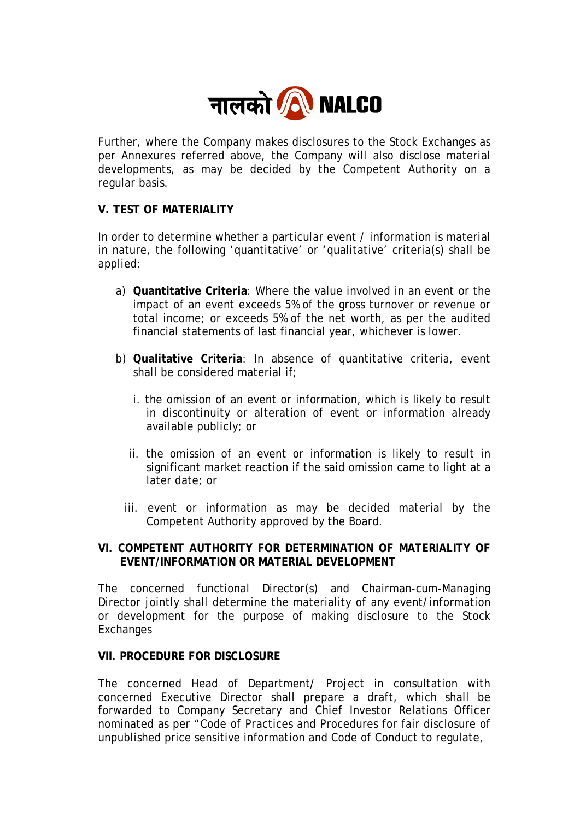

Further, where the Company makes disclosures to the Stock Exchanges as per Annexures referred above, the Company will also disclose material developments, as may be decided by the Competent Authority on a regular basis.

## **V. TEST OF MATERIALITY**

In order to determine whether a particular event / information is material in nature, the following 'quantitative' or 'qualitative' criteria(s) shall be applied:

- a) **Quantitative Criteria**: Where the value involved in an event or the impact of an event exceeds 5% of the gross turnover or revenue or total income; or exceeds 5% of the net worth, as per the audited financial statements of last financial year, whichever is lower.
- b) **Qualitative Criteria**: In absence of quantitative criteria, event shall be considered material if;
	- i. the omission of an event or information, which is likely to result in discontinuity or alteration of event or information already available publicly; or
	- ii. the omission of an event or information is likely to result in significant market reaction if the said omission came to light at a later date; or
	- iii. event or information as may be decided material by the Competent Authority approved by the Board.

## **VI. COMPETENT AUTHORITY FOR DETERMINATION OF MATERIALITY OF EVENT/INFORMATION OR MATERIAL DEVELOPMENT**

The concerned functional Director(s) and Chairman-cum-Managing Director jointly shall determine the materiality of any event/information or development for the purpose of making disclosure to the Stock **Exchanges** 

## **VII. PROCEDURE FOR DISCLOSURE**

The concerned Head of Department/ Project in consultation with concerned Executive Director shall prepare a draft, which shall be forwarded to Company Secretary and Chief Investor Relations Officer nominated as per "Code of Practices and Procedures for fair disclosure of unpublished price sensitive information and Code of Conduct to regulate,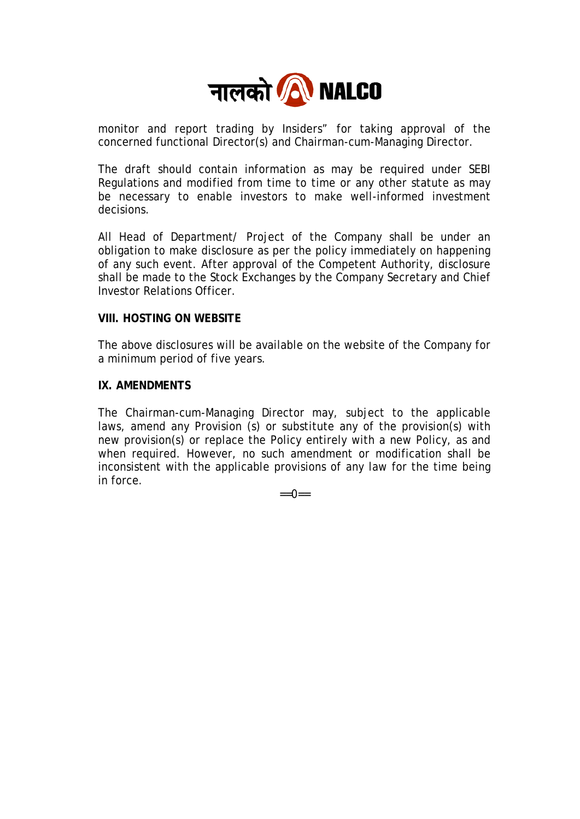

monitor and report trading by Insiders" for taking approval of the concerned functional Director(s) and Chairman-cum-Managing Director.

The draft should contain information as may be required under SEBI Regulations and modified from time to time or any other statute as may be necessary to enable investors to make well-informed investment decisions.

All Head of Department/ Project of the Company shall be under an obligation to make disclosure as per the policy immediately on happening of any such event. After approval of the Competent Authority, disclosure shall be made to the Stock Exchanges by the Company Secretary and Chief Investor Relations Officer.

## **VIII. HOSTING ON WEBSITE**

The above disclosures will be available on the website of the Company for a minimum period of five years.

#### **IX. AMENDMENTS**

The Chairman-cum-Managing Director may, subject to the applicable laws, amend any Provision (s) or substitute any of the provision(s) with new provision(s) or replace the Policy entirely with a new Policy, as and when required. However, no such amendment or modification shall be inconsistent with the applicable provisions of any law for the time being in force.

 $=-0$ ==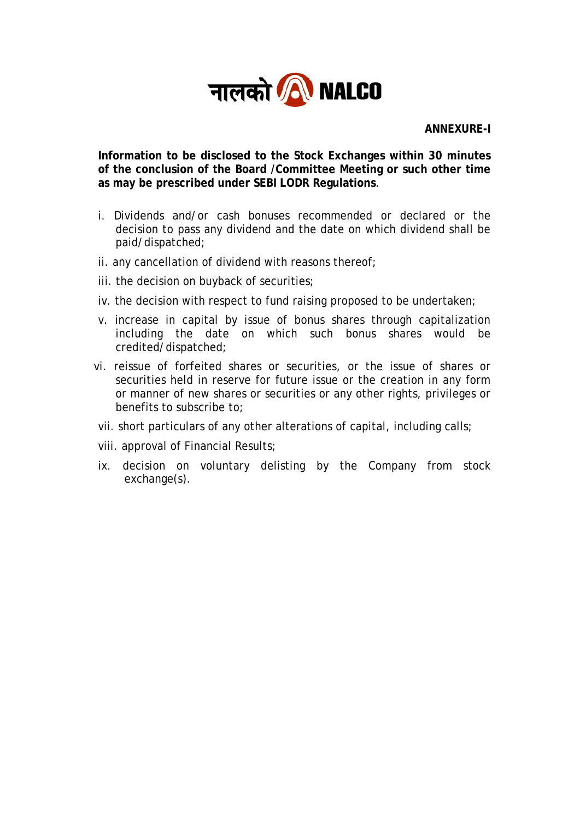

**ANNEXURE-I** 

**Information to be disclosed to the Stock Exchanges within 30 minutes of the conclusion of the Board /Committee Meeting or such other time as may be prescribed under SEBI LODR Regulations**.

- i. Dividends and/or cash bonuses recommended or declared or the decision to pass any dividend and the date on which dividend shall be paid/dispatched;
- ii. any cancellation of dividend with reasons thereof;
- iii. the decision on buyback of securities;
- iv. the decision with respect to fund raising proposed to be undertaken;
- v. increase in capital by issue of bonus shares through capitalization including the date on which such bonus shares would be credited/dispatched;
- vi. reissue of forfeited shares or securities, or the issue of shares or securities held in reserve for future issue or the creation in any form or manner of new shares or securities or any other rights, privileges or benefits to subscribe to;
- vii. short particulars of any other alterations of capital, including calls;
- viii. approval of Financial Results;
- ix. decision on voluntary delisting by the Company from stock exchange(s).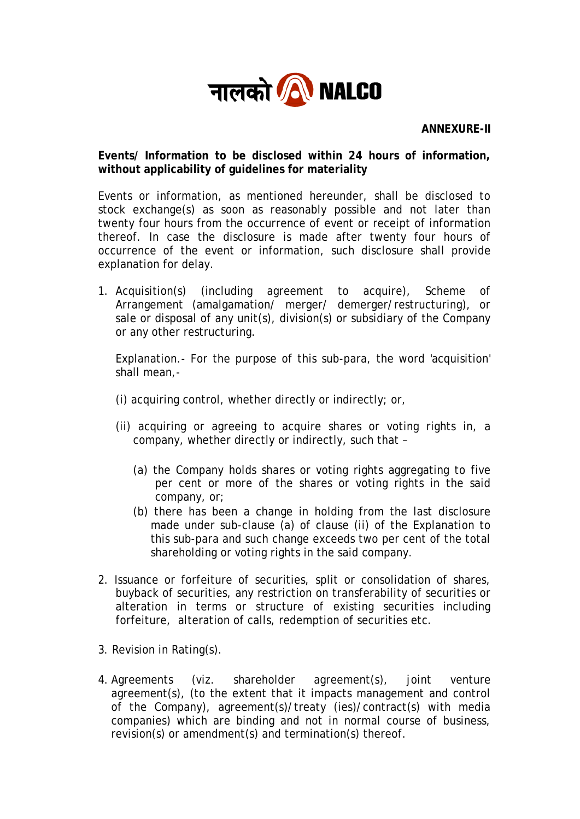

# **Events/ Information to be disclosed within 24 hours of information, without applicability of guidelines for materiality**

Events or information, as mentioned hereunder, shall be disclosed to stock exchange(s) as soon as reasonably possible and not later than twenty four hours from the occurrence of event or receipt of information thereof. In case the disclosure is made after twenty four hours of occurrence of the event or information, such disclosure shall provide explanation for delay.

1. Acquisition(s) (including agreement to acquire), Scheme of Arrangement (amalgamation/ merger/ demerger/restructuring), or sale or disposal of any unit(s), division(s) or subsidiary of the Company or any other restructuring.

Explanation.- For the purpose of this sub-para, the word 'acquisition' shall mean,-

- (i) acquiring control, whether directly or indirectly; or,
- (ii) acquiring or agreeing to acquire shares or voting rights in, a company, whether directly or indirectly, such that –
	- (a) the Company holds shares or voting rights aggregating to five per cent or more of the shares or voting rights in the said company, or;
	- (b) there has been a change in holding from the last disclosure made under sub-clause (a) of clause (ii) of the Explanation to this sub-para and such change exceeds two per cent of the total shareholding or voting rights in the said company.
- 2. Issuance or forfeiture of securities, split or consolidation of shares, buyback of securities, any restriction on transferability of securities or alteration in terms or structure of existing securities including forfeiture, alteration of calls, redemption of securities etc.
- 3. Revision in Rating(s).
- 4. Agreements (viz. shareholder agreement(s), joint venture agreement(s), (to the extent that it impacts management and control of the Company), agreement(s)/treaty (ies)/contract(s) with media companies) which are binding and not in normal course of business, revision(s) or amendment(s) and termination(s) thereof.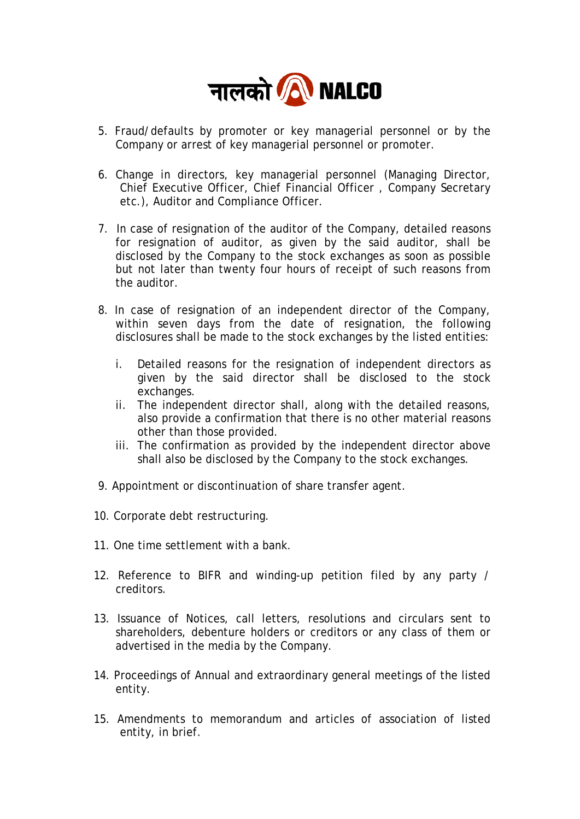

- 5. Fraud/defaults by promoter or key managerial personnel or by the Company or arrest of key managerial personnel or promoter.
- 6. Change in directors, key managerial personnel (Managing Director, Chief Executive Officer, Chief Financial Officer , Company Secretary etc.), Auditor and Compliance Officer.
- 7. In case of resignation of the auditor of the Company, detailed reasons for resignation of auditor, as given by the said auditor, shall be disclosed by the Company to the stock exchanges as soon as possible but not later than twenty four hours of receipt of such reasons from the auditor.
- 8. In case of resignation of an independent director of the Company, within seven days from the date of resignation, the following disclosures shall be made to the stock exchanges by the listed entities:
	- i. Detailed reasons for the resignation of independent directors as given by the said director shall be disclosed to the stock exchanges.
	- ii. The independent director shall, along with the detailed reasons, also provide a confirmation that there is no other material reasons other than those provided.
	- iii. The confirmation as provided by the independent director above shall also be disclosed by the Company to the stock exchanges.
- 9. Appointment or discontinuation of share transfer agent.
- 10. Corporate debt restructuring.
- 11. One time settlement with a bank.
- 12. Reference to BIFR and winding-up petition filed by any party / creditors.
- 13. Issuance of Notices, call letters, resolutions and circulars sent to shareholders, debenture holders or creditors or any class of them or advertised in the media by the Company.
- 14. Proceedings of Annual and extraordinary general meetings of the listed entity.
- 15. Amendments to memorandum and articles of association of listed entity, in brief.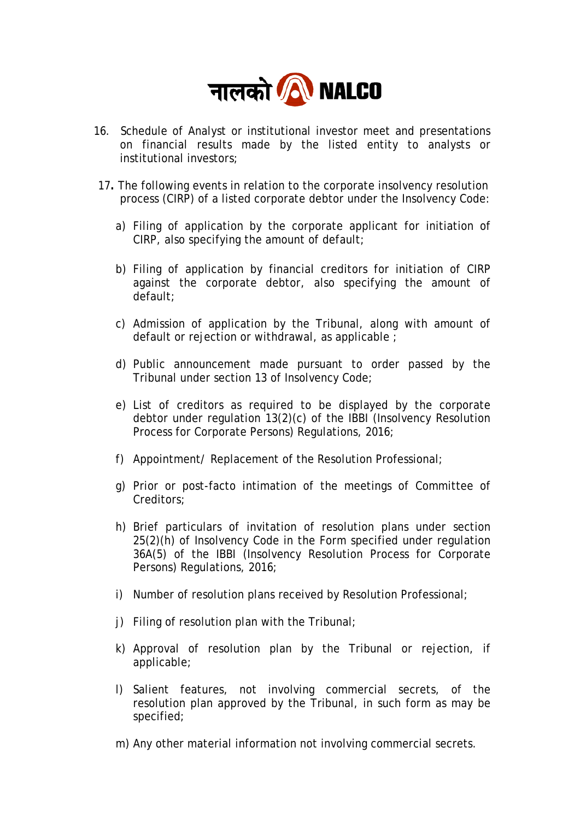

- 16. Schedule of Analyst or institutional investor meet and presentations on financial results made by the listed entity to analysts or institutional investors;
- 17**.** The following events in relation to the corporate insolvency resolution process (CIRP) of a listed corporate debtor under the Insolvency Code:
	- a) Filing of application by the corporate applicant for initiation of CIRP, also specifying the amount of default;
	- b) Filing of application by financial creditors for initiation of CIRP against the corporate debtor, also specifying the amount of default;
	- c) Admission of application by the Tribunal, along with amount of default or rejection or withdrawal, as applicable ;
	- d) Public announcement made pursuant to order passed by the Tribunal under section 13 of Insolvency Code;
	- e) List of creditors as required to be displayed by the corporate debtor under regulation 13(2)(c) of the IBBI (Insolvency Resolution Process for Corporate Persons) Regulations, 2016;
	- f) Appointment/ Replacement of the Resolution Professional;
	- g) Prior or post-facto intimation of the meetings of Committee of Creditors;
	- h) Brief particulars of invitation of resolution plans under section 25(2)(h) of Insolvency Code in the Form specified under regulation 36A(5) of the IBBI (Insolvency Resolution Process for Corporate Persons) Regulations, 2016;
	- i) Number of resolution plans received by Resolution Professional;
	- j) Filing of resolution plan with the Tribunal;
	- k) Approval of resolution plan by the Tribunal or rejection, if applicable;
	- l) Salient features, not involving commercial secrets, of the resolution plan approved by the Tribunal, in such form as may be specified;
	- m) Any other material information not involving commercial secrets.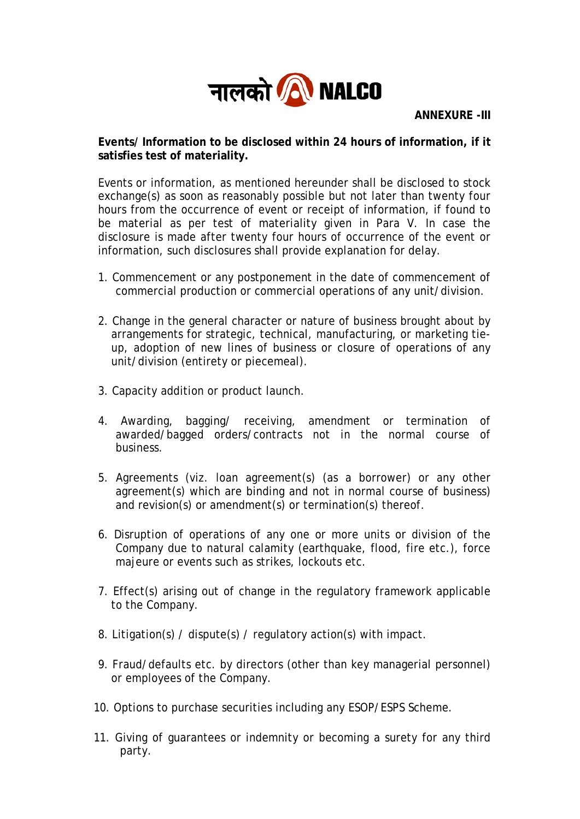

**ANNEXURE -III** 

**Events/ Information to be disclosed within 24 hours of information, if it satisfies test of materiality.** 

Events or information, as mentioned hereunder shall be disclosed to stock exchange(s) as soon as reasonably possible but not later than twenty four hours from the occurrence of event or receipt of information, if found to be material as per test of materiality given in Para V. In case the disclosure is made after twenty four hours of occurrence of the event or information, such disclosures shall provide explanation for delay.

- 1. Commencement or any postponement in the date of commencement of commercial production or commercial operations of any unit/division.
- 2. Change in the general character or nature of business brought about by arrangements for strategic, technical, manufacturing, or marketing tieup, adoption of new lines of business or closure of operations of any unit/division (entirety or piecemeal).
- 3. Capacity addition or product launch.
- 4. Awarding, bagging/ receiving, amendment or termination of awarded/bagged orders/contracts not in the normal course of business.
- 5. Agreements (viz. loan agreement(s) (as a borrower) or any other agreement(s) which are binding and not in normal course of business) and revision(s) or amendment(s) or termination(s) thereof.
- 6. Disruption of operations of any one or more units or division of the Company due to natural calamity (earthquake, flood, fire etc.), force majeure or events such as strikes, lockouts etc.
- 7. Effect(s) arising out of change in the regulatory framework applicable to the Company.
- 8. Litigation(s) / dispute(s) / regulatory action(s) with impact.
- 9. Fraud/defaults etc. by directors (other than key managerial personnel) or employees of the Company.
- 10. Options to purchase securities including any ESOP/ESPS Scheme.
- 11. Giving of guarantees or indemnity or becoming a surety for any third party.